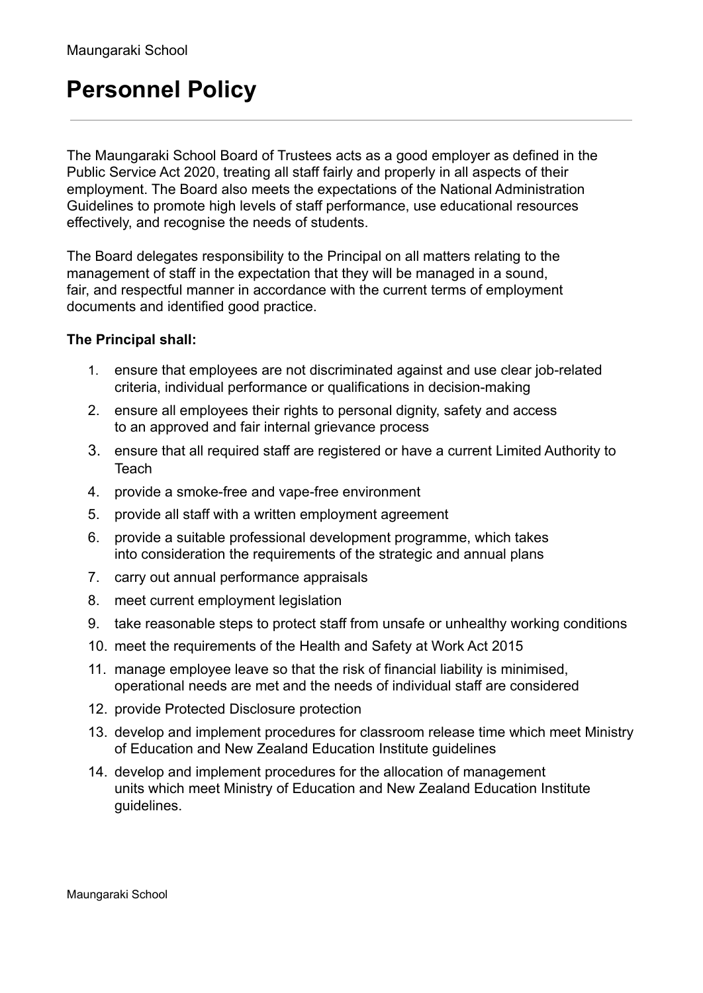## **Personnel Policy**

The Maungaraki School Board of Trustees acts as a good employer as defined in the Public Service Act 2020, treating all staff fairly and properly in all aspects of their employment. The Board also meets the expectations of the National Administration Guidelines to promote high levels of staff performance, use educational resources effectively, and recognise the needs of students.

The Board delegates responsibility to the Principal on all matters relating to the management of staff in the expectation that they will be managed in a sound, fair, and respectful manner in accordance with the current terms of employment documents and identified good practice.

## **The Principal shall:**

- 1. ensure that employees are not discriminated against and use clear job-related criteria, individual performance or qualifications in decision-making
- 2. ensure all employees their rights to personal dignity, safety and access to an approved and fair internal grievance process
- 3. ensure that all required staff are registered or have a current Limited Authority to **Teach**
- 4. provide a smoke-free and vape-free environment
- 5. provide all staff with a written employment agreement
- 6. provide a suitable professional development programme, which takes into consideration the requirements of the strategic and annual plans
- 7. carry out annual performance appraisals
- 8. meet current employment legislation
- 9. take reasonable steps to protect staff from unsafe or unhealthy working conditions
- 10. meet the requirements of the Health and Safety at Work Act 2015
- 11. manage employee leave so that the risk of financial liability is minimised, operational needs are met and the needs of individual staff are considered
- 12. provide Protected Disclosure protection
- 13. develop and implement procedures for classroom release time which meet Ministry of Education and New Zealand Education Institute guidelines
- 14. develop and implement procedures for the allocation of management units which meet Ministry of Education and New Zealand Education Institute guidelines.